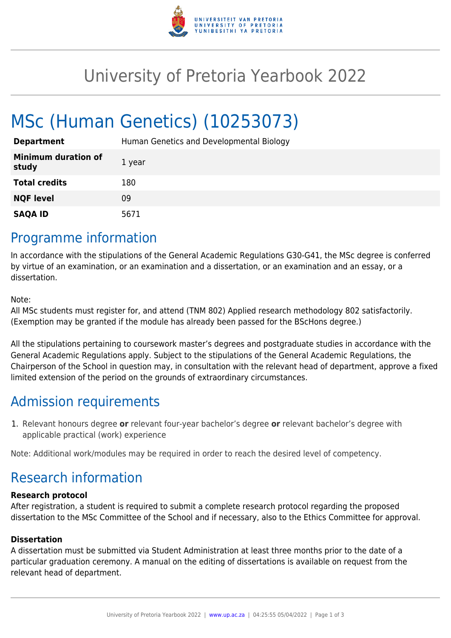

## University of Pretoria Yearbook 2022

# MSc (Human Genetics) (10253073)

| <b>Department</b>                   | Human Genetics and Developmental Biology |
|-------------------------------------|------------------------------------------|
| <b>Minimum duration of</b><br>study | 1 year                                   |
| <b>Total credits</b>                | 180                                      |
| <b>NQF level</b>                    | 09                                       |
| <b>SAQA ID</b>                      | 5671                                     |

### Programme information

In accordance with the stipulations of the General Academic Regulations G30-G41, the MSc degree is conferred by virtue of an examination, or an examination and a dissertation, or an examination and an essay, or a dissertation.

Note:

All MSc students must register for, and attend (TNM 802) Applied research methodology 802 satisfactorily. (Exemption may be granted if the module has already been passed for the BScHons degree.)

All the stipulations pertaining to coursework master's degrees and postgraduate studies in accordance with the General Academic Regulations apply. Subject to the stipulations of the General Academic Regulations, the Chairperson of the School in question may, in consultation with the relevant head of department, approve a fixed limited extension of the period on the grounds of extraordinary circumstances.

### Admission requirements

1. Relevant honours degree **or** relevant four-year bachelor's degree **or** relevant bachelor's degree with applicable practical (work) experience

Note: Additional work/modules may be required in order to reach the desired level of competency.

### Research information

#### **Research protocol**

After registration, a student is required to submit a complete research protocol regarding the proposed dissertation to the MSc Committee of the School and if necessary, also to the Ethics Committee for approval.

#### **Dissertation**

A dissertation must be submitted via Student Administration at least three months prior to the date of a particular graduation ceremony. A manual on the editing of dissertations is available on request from the relevant head of department.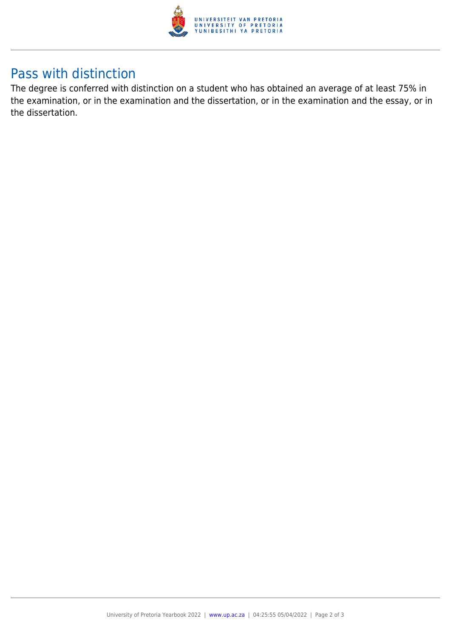

### Pass with distinction

The degree is conferred with distinction on a student who has obtained an average of at least 75% in the examination, or in the examination and the dissertation, or in the examination and the essay, or in the dissertation.